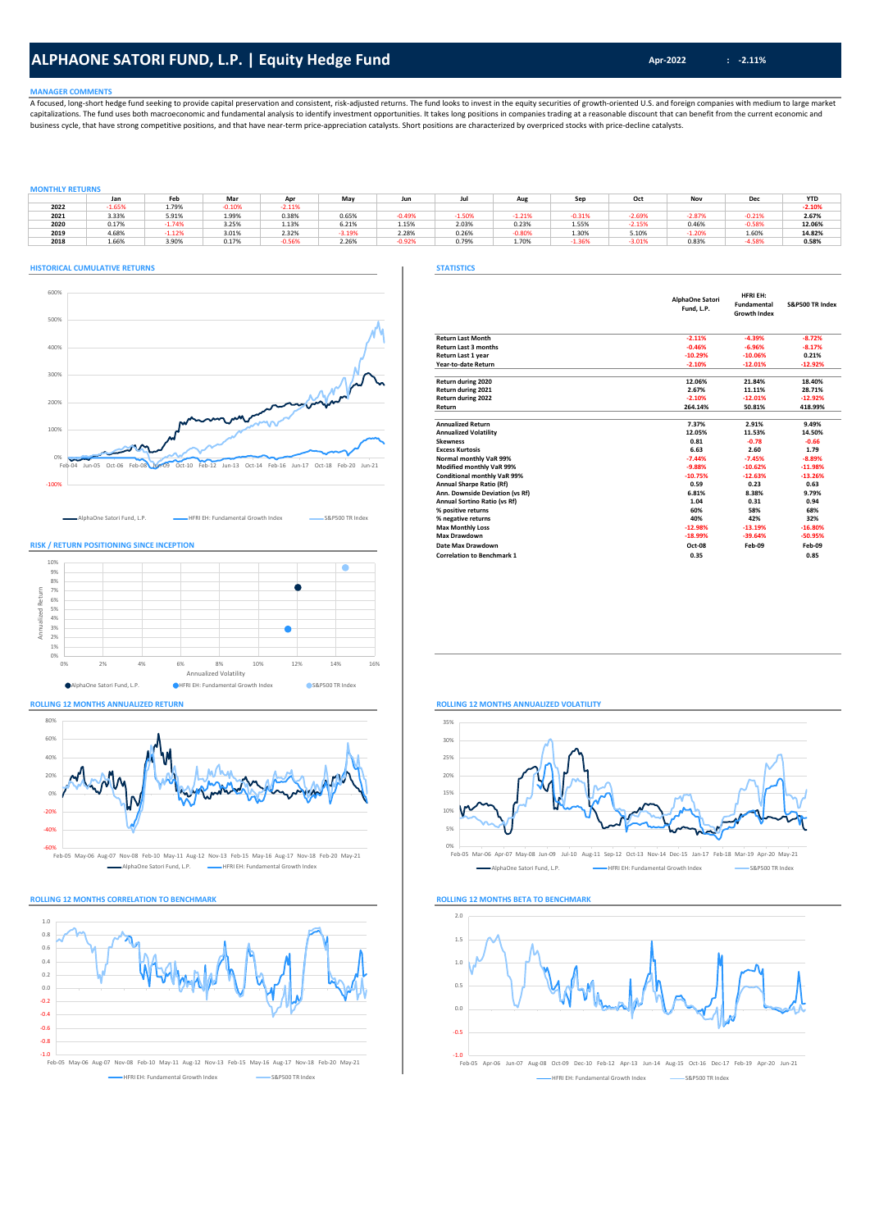### **MANAGER COMMENT**

A focused, long-short hedge fund seeking to provide capital preservation and consistent, risk-adjusted returns. The fund looks to invest in the equity securities of growth-oriented U.S. and foreign companies with medium to capitalizations. The fund uses both macroeconomic and fundamental analysis to identify investment opportunities. It takes long positions in companies trading at a reasonable discount that can benefit from the current econo business cycle, that have strong competitive positions, and that have near-term price-appreciation catalysts. Short positions are characterized by overpriced stocks with price-decline catalysts.

# **MONTHLY RETURNS**

| <b>INDIANALLE INFLANCE</b> |          |          |          |          |       |                       |          |          |          |          | Nov<br>Dec<br>$-2.87%$<br>$-0.21%$<br>0.46%<br>$-0.58%$ |       |            |  |  |
|----------------------------|----------|----------|----------|----------|-------|-----------------------|----------|----------|----------|----------|---------------------------------------------------------|-------|------------|--|--|
|                            | Jan      | Feb      | Mar      | Apr      | May   | Jun                   |          | Aug      | Sen      | Oct      |                                                         |       | <b>YTD</b> |  |  |
| 2022                       | $-1.65%$ | 1.79%    | $-0.10%$ | $-2.11%$ |       |                       |          |          |          |          |                                                         |       | $-2.10%$   |  |  |
| 2021                       | 3.33%    | 5.91%    | 1.99%    | 0.38%    | 0.65% | 0.49%                 | $-1.50%$ | $-1.21%$ | $-0.31%$ | $-2.69%$ |                                                         |       | 2.67%      |  |  |
| 2020                       | 0.17%    | $-1.74%$ | 3.25%    | 1.13%    | 6.21% | 15%<br><b>1.1.</b> 27 | 2.03%    | 0.23%    | 1.55%    | $-2.15%$ |                                                         |       | 12.06%     |  |  |
| 2019                       | 4.68%    | $-1.12%$ | 3.01%    | 2.32%    | 3.19% | 2.28%                 | 0.26%    | $-0.80%$ | 1.30%    | 5.10%    | $-1.20%$                                                | 1.60% | 14.82%     |  |  |
| 2018                       | 1.66%    | 3.90%    | 0.17%    | $-0.56%$ | 2.26% | $-0.92%$              | 0.79%    | 1.70%    | $-1.36%$ | $-3.01%$ | 0.83%                                                   | 4.58% | 0.58%      |  |  |

## **HISTORICAL CUMULATIVE RETURNS STATISTICS**



**RISK / RETURN POSITIONING SINCE INCEPTION** 





# **ROLLING 12 MONTHS CORRELATION TO BENCHMARK ROLLING 12 MONTHS BETA TO BENCHMARK**



|                                   | AlphaOne Satori<br>Fund. L.P. | <b>HFRI EH:</b><br><b>Fundamental</b><br><b>Growth Index</b> | S&P500 TR Index |  |
|-----------------------------------|-------------------------------|--------------------------------------------------------------|-----------------|--|
| <b>Return Last Month</b>          | $-2.11%$                      | $-4.39%$                                                     | $-8.72%$        |  |
| <b>Return Last 3 months</b>       | $-0.46%$                      | $-6.96%$                                                     | $-8.17%$        |  |
| Return Last 1 year                | $-10.29%$                     | $-10.06%$                                                    | 0.21%           |  |
| Year-to-date Return               | $-2.10%$                      | $-12.01%$                                                    | $-12.92%$       |  |
| Return during 2020                | 12.06%                        | 21.84%                                                       | 18.40%          |  |
| Return during 2021                | 2.67%                         | 11.11%                                                       | 28.71%          |  |
| Return during 2022                | $-2.10%$                      | $-12.01%$                                                    | $-12.92%$       |  |
| Return                            | 264.14%                       | 50.81%                                                       | 418.99%         |  |
| <b>Annualized Return</b>          | 7.37%                         | 2.91%                                                        | 9.49%           |  |
| <b>Annualized Volatility</b>      | 12.05%                        | 11.53%                                                       | 14.50%          |  |
| <b>Skewness</b>                   | 0.81                          | $-0.78$                                                      | $-0.66$         |  |
| <b>Excess Kurtosis</b>            | 6.63                          | 2.60                                                         | 1.79            |  |
| Normal monthly VaR 99%            | $-7.44%$                      | $-7.45%$                                                     | $-8.89%$        |  |
| <b>Modified monthly VaR 99%</b>   | $-9.88%$                      | $-10.62%$                                                    | $-11.98%$       |  |
| Conditional monthly VaR 99%       | $-10.75%$                     | $-12.63%$                                                    | $-13.26%$       |  |
| Annual Sharpe Ratio (Rf)          | 0.59                          | 0.23                                                         | 0.63            |  |
| Ann. Downside Deviation (vs Rf)   | 6.81%                         | 8.38%                                                        | 9.79%           |  |
| Annual Sortino Ratio (vs Rf)      | 1.04                          | 0.31                                                         | 0.94            |  |
| % positive returns                | 60%                           | 58%                                                          | 68%             |  |
| % negative returns                | 40%                           | 42%                                                          | 32%             |  |
| <b>Max Monthly Loss</b>           | $-12.98%$                     | $-13.19%$                                                    | $-16.80%$       |  |
| Max Drawdown                      | $-18.99%$                     | $-39.64%$                                                    | $-50.95%$       |  |
| Date Max Drawdown                 | $Oct-08$                      | Feb-09                                                       | <b>Feb-09</b>   |  |
| <b>Correlation to Benchmark 1</b> | 0.35                          |                                                              | 0.85            |  |

**ROLLING 12 MONTHS ANNUALIZED RETURN ROLLING 12 MONTHS ANNUALIZED VOLATILITY**



AlphaOne Satori Fund, L.P. The HERLEH: Fundamental Growth Index S&P500 TR Index



HFRI EH: Fundamental Growth Index S&P500 TR Index